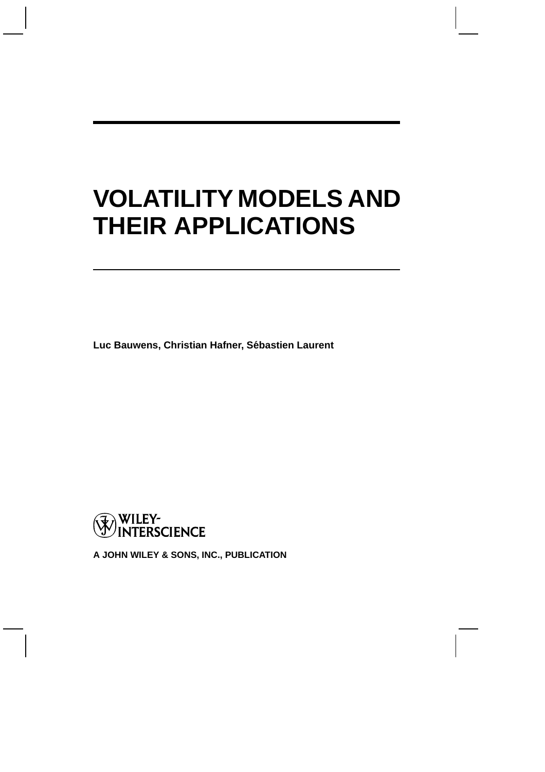# **VOLATILITY MODELS AND THEIR APPLICATIONS**

**Luc Bauwens, Christian Hafner, Sebastien Laurent ´**



**A JOHN WILEY & SONS, INC., PUBLICATION**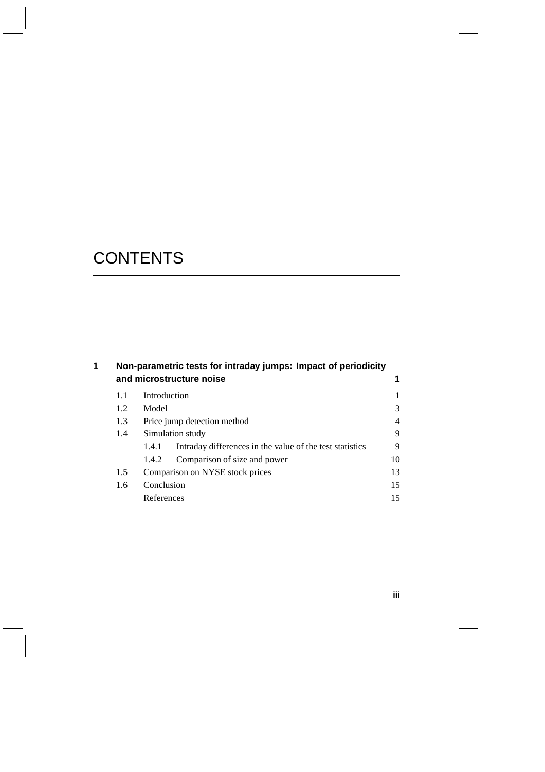# **CONTENTS**

| 1 |                          | Non-parametric tests for intraday jumps: Impact of periodicity |                                                          |    |  |  |  |  |  |
|---|--------------------------|----------------------------------------------------------------|----------------------------------------------------------|----|--|--|--|--|--|
|   | and microstructure noise |                                                                |                                                          |    |  |  |  |  |  |
|   | 1.1                      | Introduction                                                   |                                                          |    |  |  |  |  |  |
|   | 1.2                      | Model                                                          |                                                          | 3  |  |  |  |  |  |
|   | 1.3                      | Price jump detection method                                    |                                                          |    |  |  |  |  |  |
|   | 1.4                      | Simulation study                                               |                                                          |    |  |  |  |  |  |
|   |                          | 1.4.1                                                          | Intraday differences in the value of the test statistics | 9  |  |  |  |  |  |
|   |                          | 1.4.2                                                          | Comparison of size and power                             | 10 |  |  |  |  |  |
|   | 1.5                      | Comparison on NYSE stock prices                                |                                                          |    |  |  |  |  |  |
|   | 1.6                      | Conclusion                                                     |                                                          |    |  |  |  |  |  |
|   |                          | References                                                     |                                                          | 15 |  |  |  |  |  |
|   |                          |                                                                |                                                          |    |  |  |  |  |  |

**iii**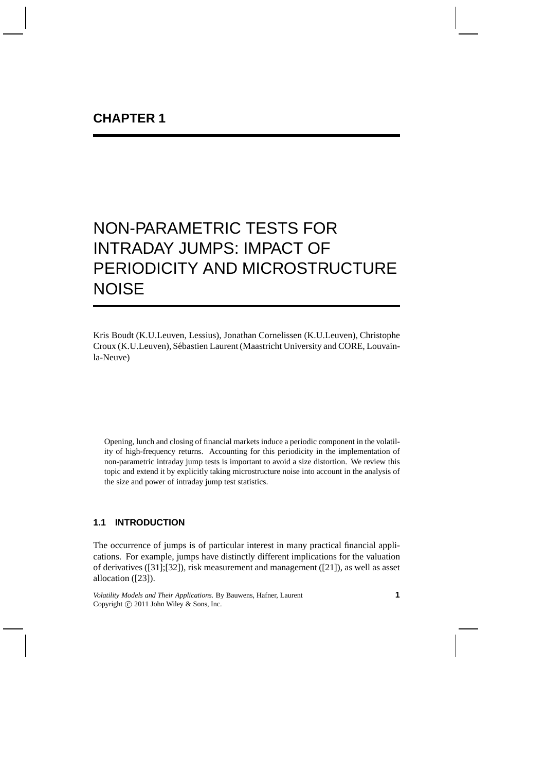Kris Boudt (K.U.Leuven, Lessius), Jonathan Cornelissen (K.U.Leuven), Christophe Croux (K.U.Leuven), Sébastien Laurent (Maastricht University and CORE, Louvainla-Neuve)

Opening, lunch and closing of financial markets induce a periodic component in the volatility of high-frequency returns. Accounting for this periodicity in the implementation of non-parametric intraday jump tests is important to avoid a size distortion. We review this topic and extend it by explicitly taking microstructure noise into account in the analysis of the size and power of intraday jump test statistics.

# **1.1 INTRODUCTION**

The occurrence of jumps is of particular interest in many practical financial applications. For example, jumps have distinctly different implications for the valuation of derivatives ([31];[32]), risk measurement and management ([21]), as well as asset allocation ([23]).

*Volatility Models and Their Applications.* By Bauwens, Hafner, Laurent Copyright  $\odot$  2011 John Wiley & Sons, Inc.

**1**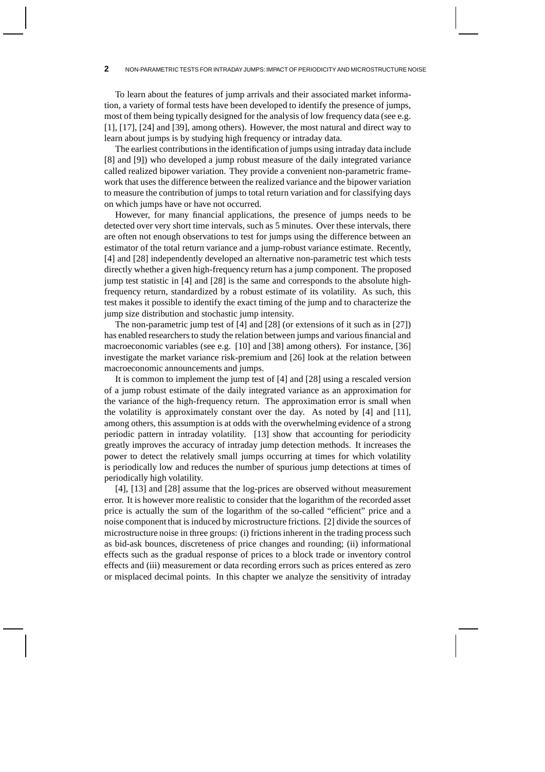To learn about the features of jump arrivals and their associated market information, a variety of formal tests have been developed to identify the presence of jumps, most of them being typically designed for the analysis of low frequency data (see e.g. [1], [17], [24] and [39], among others). However, the most natural and direct way to learn about jumps is by studying high frequency or intraday data.

The earliest contributions in the identification of jumps using intraday data include [8] and [9]) who developed a jump robust measure of the daily integrated variance called realized bipower variation. They provide a convenient non-parametric framework that uses the difference between the realized variance and the bipower variation to measure the contribution of jumps to total return variation and for classifying days on which jumps have or have not occurred.

However, for many financial applications, the presence of jumps needs to be detected over very short time intervals, such as 5 minutes. Over these intervals, there are often not enough observations to test for jumps using the difference between an estimator of the total return variance and a jump-robust variance estimate. Recently, [4] and [28] independently developed an alternative non-parametric test which tests directly whether a given high-frequency return has a jump component. The proposed jump test statistic in [4] and [28] is the same and corresponds to the absolute highfrequency return, standardized by a robust estimate of its volatility. As such, this test makes it possible to identify the exact timing of the jump and to characterize the jump size distribution and stochastic jump intensity.

The non-parametric jump test of [4] and [28] (or extensions of it such as in [27]) has enabled researchers to study the relation between jumps and various financial and macroeconomic variables (see e.g. [10] and [38] among others). For instance, [36] investigate the market variance risk-premium and [26] look at the relation between macroeconomic announcements and jumps.

It is common to implement the jump test of [4] and [28] using a rescaled version of a jump robust estimate of the daily integrated variance as an approximation for the variance of the high-frequency return. The approximation error is small when the volatility is approximately constant over the day. As noted by [4] and [11], among others, this assumption is at odds with the overwhelming evidence of a strong periodic pattern in intraday volatility. [13] show that accounting for periodicity greatly improves the accuracy of intraday jump detection methods. It increases the power to detect the relatively small jumps occurring at times for which volatility is periodically low and reduces the number of spurious jump detections at times of periodically high volatility.

[4], [13] and [28] assume that the log-prices are observed without measurement error. It is however more realistic to consider that the logarithm of the recorded asset price is actually the sum of the logarithm of the so-called "efficient" price and a noise component that is induced by microstructure frictions. [2] divide the sources of microstructure noise in three groups: (i) frictions inherent in the trading process such as bid-ask bounces, discreteness of price changes and rounding; (ii) informational effects such as the gradual response of prices to a block trade or inventory control effects and (iii) measurement or data recording errors such as prices entered as zero or misplaced decimal points. In this chapter we analyze the sensitivity of intraday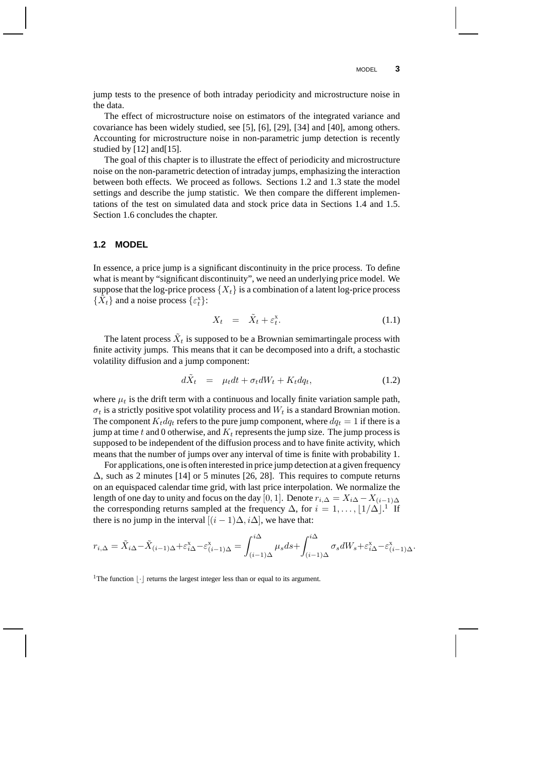jump tests to the presence of both intraday periodicity and microstructure noise in the data.

The effect of microstructure noise on estimators of the integrated variance and covariance has been widely studied, see [5], [6], [29], [34] and [40], among others. Accounting for microstructure noise in non-parametric jump detection is recently studied by [12] and [15].

The goal of this chapter is to illustrate the effect of periodicity and microstructure noise on the non-parametric detection of intraday jumps, emphasizing the interaction between both effects. We proceed as follows. Sections 1.2 and 1.3 state the model settings and describe the jump statistic. We then compare the different implementations of the test on simulated data and stock price data in Sections 1.4 and 1.5. Section 1.6 concludes the chapter.

# **1.2 MODEL**

In essence, a price jump is a significant discontinuity in the price process. To define what is meant by "significant discontinuity", we need an underlying price model. We suppose that the log-price process  $\{X_t\}$  is a combination of a latent log-price process  $\{\tilde{X}_t\}$  and a noise process  $\{\varepsilon_t^x\}$ :

$$
X_t = \tilde{X}_t + \varepsilon_t^{\mathbf{x}}.\tag{1.1}
$$

The latent process  $\tilde{X}_t$  is supposed to be a Brownian semimartingale process with finite activity jumps. This means that it can be decomposed into a drift, a stochastic volatility diffusion and a jump component:

$$
d\tilde{X}_t = \mu_t dt + \sigma_t dW_t + K_t dq_t, \qquad (1.2)
$$

where  $\mu_t$  is the drift term with a continuous and locally finite variation sample path,  $\sigma_t$  is a strictly positive spot volatility process and  $W_t$  is a standard Brownian motion. The component  $K_t dq_t$  refers to the pure jump component, where  $dq_t = 1$  if there is a jump at time  $t$  and 0 otherwise, and  $K_t$  represents the jump size. The jump process is supposed to be independent of the diffusion process and to have finite activity, which means that the number of jumps over any interval of time is finite with probability 1.

For applications, one is often interested in price jump detection at a given frequency ∆, such as 2 minutes [14] or 5 minutes [26, 28]. This requires to compute returns on an equispaced calendar time grid, with last price interpolation. We normalize the length of one day to unity and focus on the day [0, 1]. Denote  $r_{i,\Delta} = X_{i\Delta} - X_{(i-1)\Delta}$ the corresponding returns sampled at the frequency  $\Delta$ , for  $i = 1, \ldots, \lfloor 1/\Delta \rfloor$ .<sup>1</sup> If there is no jump in the interval  $[(i - 1)\Delta, i\Delta]$ , we have that:

$$
r_{i,\Delta} = \tilde{X}_{i\Delta} - \tilde{X}_{(i-1)\Delta} + \varepsilon_{i\Delta}^{\mathbf{x}} - \varepsilon_{(i-1)\Delta}^{\mathbf{x}} = \int_{(i-1)\Delta}^{i\Delta} \mu_s ds + \int_{(i-1)\Delta}^{i\Delta} \sigma_s dW_s + \varepsilon_{i\Delta}^{\mathbf{x}} - \varepsilon_{(i-1)\Delta}^{\mathbf{x}}.
$$

<sup>1</sup>The function  $|\cdot|$  returns the largest integer less than or equal to its argument.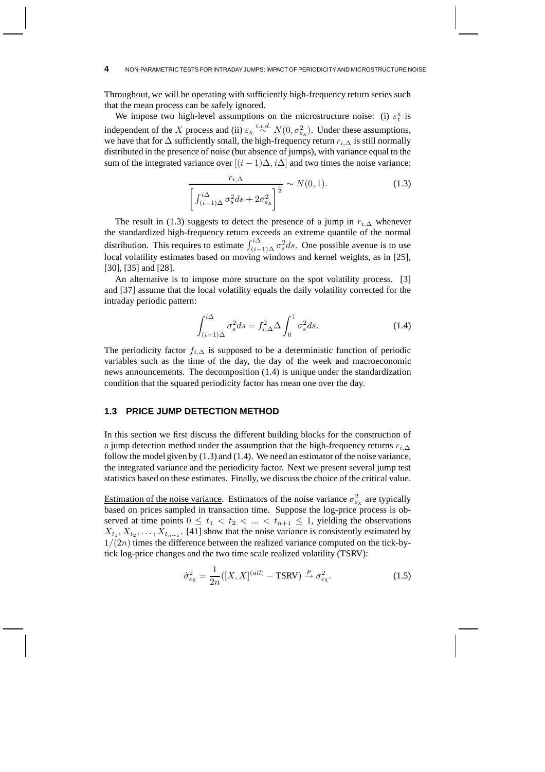Throughout, we will be operating with sufficiently high-frequency return series such that the mean process can be safely ignored.

We impose two high-level assumptions on the microstructure noise: (i)  $\varepsilon_t^x$  is t independent of the X process and (ii)  $\varepsilon_x \stackrel{i.i.d.}{\sim} N(0, \sigma_{\varepsilon_x}^2)$ . Under these assumptions, we have that for  $\Delta$  sufficiently small, the high-frequency return  $r_{i,\Delta}$  is still normally distributed in the presence of noise (but absence of jumps), with variance equal to the sum of the integrated variance over  $[(i - 1)\Delta, i\Delta]$  and two times the noise variance:

$$
\frac{r_{i,\Delta}}{\left[\int_{(i-1)\Delta}^{i\Delta} \sigma_s^2 ds + 2\sigma_{\varepsilon_{\mathrm{x}}}^2\right]^{\frac{1}{2}}} \sim N(0,1). \tag{1.3}
$$

The result in (1.3) suggests to detect the presence of a jump in  $r_{i,\Delta}$  whenever the standardized high-frequency return exceeds an extreme quantile of the normal distribution. This requires to estimate  $\int_{(i-1)\Delta}^{i\Delta} \sigma_s^2 ds$ . One possible avenue is to use local volatility estimates based on moving windows and kernel weights, as in [25], [30], [35] and [28].

An alternative is to impose more structure on the spot volatility process. [3] and [37] assume that the local volatility equals the daily volatility corrected for the intraday periodic pattern:

$$
\int_{(i-1)\Delta}^{i\Delta} \sigma_s^2 ds = f_{i,\Delta}^2 \Delta \int_0^1 \sigma_s^2 ds. \tag{1.4}
$$

The periodicity factor  $f_{i,\Delta}$  is supposed to be a deterministic function of periodic variables such as the time of the day, the day of the week and macroeconomic news announcements. The decomposition (1.4) is unique under the standardization condition that the squared periodicity factor has mean one over the day.

### **1.3 PRICE JUMP DETECTION METHOD**

In this section we first discuss the different building blocks for the construction of a jump detection method under the assumption that the high-frequency returns  $r_i \wedge$ follow the model given by (1.3) and (1.4). We need an estimator of the noise variance, the integrated variance and the periodicity factor. Next we present several jump test statistics based on these estimates. Finally, we discuss the choice of the critical value.

Estimation of the noise variance. Estimators of the noise variance  $\sigma_{\varepsilon_{X}}^{2}$  are typically based on prices sampled in transaction time. Suppose the log-price process is observed at time points  $0 \le t_1 < t_2 < \ldots < t_{n+1} \le 1$ , yielding the observations  $X_{t_1}, X_{t_2}, \ldots, X_{t_{n+1}}$ . [41] show that the noise variance is consistently estimated by  $1/(2n)$  times the difference between the realized variance computed on the tick-bytick log-price changes and the two time scale realized volatility (TSRV):

$$
\hat{\sigma}_{\varepsilon_{\rm X}}^2 = \frac{1}{2n} ([X, X]^{(all)} - \text{TSRV}) \xrightarrow{p} \sigma_{\varepsilon_{\rm X}}^2.
$$
 (1.5)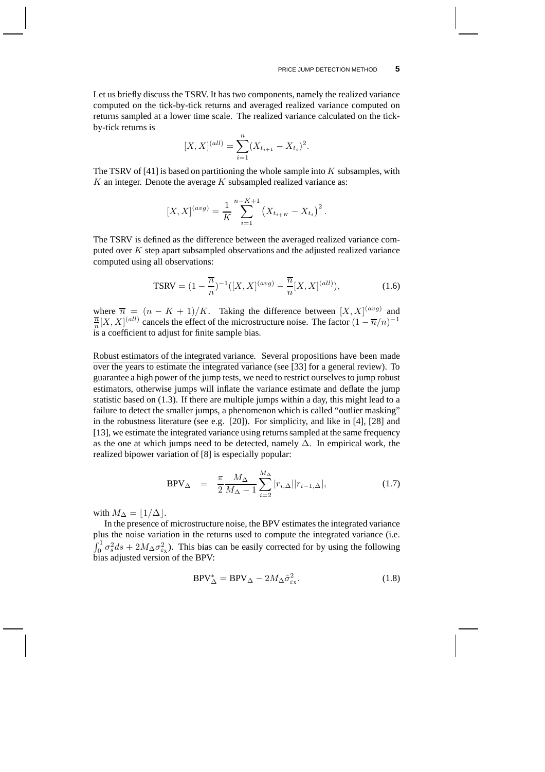Let us briefly discuss the TSRV. It has two components, namely the realized variance computed on the tick-by-tick returns and averaged realized variance computed on returns sampled at a lower time scale. The realized variance calculated on the tickby-tick returns is

$$
[X, X]^{(all)} = \sum_{i=1}^{n} (X_{t_{i+1}} - X_{t_i})^2.
$$

The TSRV of [41] is based on partitioning the whole sample into  $K$  subsamples, with  $K$  an integer. Denote the average  $K$  subsampled realized variance as:

$$
[X, X]^{(avg)} = \frac{1}{K} \sum_{i=1}^{n-K+1} (X_{t_{i+K}} - X_{t_i})^2.
$$

The TSRV is defined as the difference between the averaged realized variance computed over  $K$  step apart subsampled observations and the adjusted realized variance computed using all observations:

$$
\text{TSRV} = (1 - \frac{\overline{n}}{n})^{-1} ([X, X]^{(avg)} - \frac{\overline{n}}{n} [X, X]^{(all)}), \tag{1.6}
$$

where  $\overline{n} = (n - K + 1)/K$ . Taking the difference between  $[X, X]^{(avg)}$  and  $\frac{\overline{n}}{n}[X,X]^{(all)}$  cancels the effect of the microstructure noise. The factor  $(1-\overline{n}/n)^{-1}$ is a coefficient to adjust for finite sample bias.

Robust estimators of the integrated variance. Several propositions have been made over the years to estimate the integrated variance (see [33] for a general review). To guarantee a high power of the jump tests, we need to restrict ourselves to jump robust estimators, otherwise jumps will inflate the variance estimate and deflate the jump statistic based on (1.3). If there are multiple jumps within a day, this might lead to a failure to detect the smaller jumps, a phenomenon which is called "outlier masking" in the robustness literature (see e.g. [20]). For simplicity, and like in [4], [28] and [13], we estimate the integrated variance using returns sampled at the same frequency as the one at which jumps need to be detected, namely  $\Delta$ . In empirical work, the realized bipower variation of [8] is especially popular:

$$
BPV_{\Delta} = \frac{\pi}{2} \frac{M_{\Delta}}{M_{\Delta} - 1} \sum_{i=2}^{M_{\Delta}} |r_{i,\Delta}| |r_{i-1,\Delta}|,
$$
\n(1.7)

with  $M_{\Delta} = |1/\Delta|$ .

In the presence of microstructure noise, the BPV estimates the integrated variance plus the noise variation in the returns used to compute the integrated variance (i.e.  $\int_0^1 \sigma_s^2 ds + 2M_\Delta \sigma_{\epsilon_x}^2$ . This bias can be easily corrected for by using the following bias adjusted version of the BPV:

$$
BPV_{\Delta}^* = BPV_{\Delta} - 2M_{\Delta}\hat{\sigma}_{\varepsilon_X}^2.
$$
 (1.8)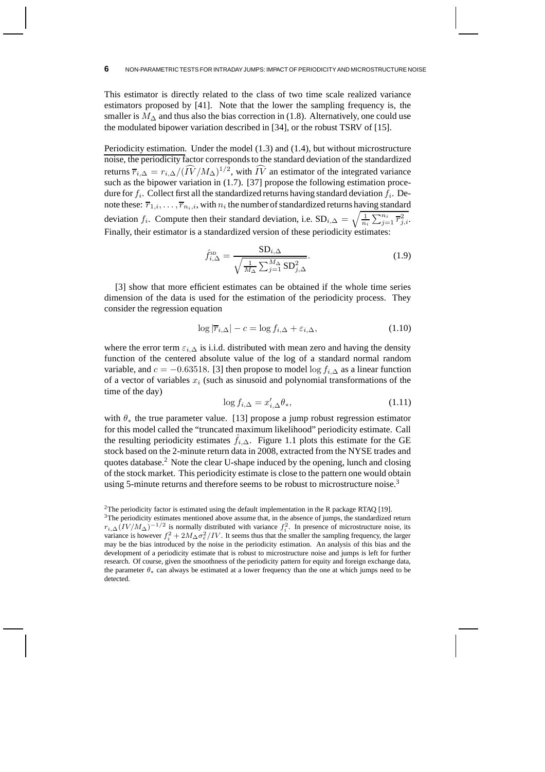This estimator is directly related to the class of two time scale realized variance estimators proposed by [41]. Note that the lower the sampling frequency is, the smaller is  $M_\Delta$  and thus also the bias correction in (1.8). Alternatively, one could use the modulated bipower variation described in [34], or the robust TSRV of [15].

Periodicity estimation. Under the model (1.3) and (1.4), but without microstructure noise, the periodicity factor corresponds to the standard deviation of the standardized returns  $\overline{r}_{i,\Delta} = r_{i,\Delta}/(\overline{IV}/M_{\Delta})^{1/2}$ , with  $\overline{IV}$  an estimator of the integrated variance such as the bipower variation in  $(1.7)$ . [37] propose the following estimation procedure for  $f_i$ . Collect first all the standardized returns having standard deviation  $f_i$ . Denote these:  $\overline{r}_{1,i},\ldots,\overline{r}_{n_i,i}$ , with  $n_i$  the number of standardized returns having standard deviation  $f_i$ . Compute then their standard deviation, i.e.  $SD_{i,\Delta} = \sqrt{\frac{1}{n_i} \sum_{j=1}^{n_i} \overline{r}_{j,i}^2}$ . Finally, their estimator is a standardized version of these periodicity estimates:

$$
\hat{f}_{i,\Delta}^{\text{SD}} = \frac{\text{SD}_{i,\Delta}}{\sqrt{\frac{1}{M_{\Delta}} \sum_{j=1}^{M_{\Delta}} \text{SD}_{j,\Delta}^2}}.
$$
\n(1.9)

[3] show that more efficient estimates can be obtained if the whole time series dimension of the data is used for the estimation of the periodicity process. They consider the regression equation

$$
\log |\overline{r}_{i,\Delta}| - c = \log f_{i,\Delta} + \varepsilon_{i,\Delta},\tag{1.10}
$$

where the error term  $\varepsilon_{i,\Delta}$  is i.i.d. distributed with mean zero and having the density function of the centered absolute value of the log of a standard normal random variable, and  $c = -0.63518$ . [3] then propose to model  $\log f_{i,\Delta}$  as a linear function of a vector of variables  $x_i$  (such as sinusoid and polynomial transformations of the time of the day)

$$
\log f_{i,\Delta} = x'_{i,\Delta} \theta_*,\tag{1.11}
$$

with  $\theta_*$  the true parameter value. [13] propose a jump robust regression estimator for this model called the "truncated maximum likelihood" periodicity estimate. Call the resulting periodicity estimates  $\hat{f}_{i,\Delta}$ . Figure 1.1 plots this estimate for the GE stock based on the 2-minute return data in 2008, extracted from the NYSE trades and quotes database.<sup>2</sup> Note the clear U-shape induced by the opening, lunch and closing of the stock market. This periodicity estimate is close to the pattern one would obtain using 5-minute returns and therefore seems to be robust to microstructure noise.<sup>3</sup>

<sup>2</sup>The periodicity factor is estimated using the default implementation in the R package RTAQ [19]. <sup>3</sup>The periodicity estimates mentioned above assume that, in the absence of jumps, the standardized return  $r_{i,\Delta}(IV/M_{\Delta})^{-1/2}$  is normally distributed with variance  $f_i^2$ . In presence of microstructure noise, its variance is however  $f_i^2 + 2M\Delta\sigma_\epsilon^2/IV$ . It seems thus that the smaller the sampling frequency, the larger may be the bias introduced by the noise in the periodicity estimation. An analysis of this bias and the development of a periodicity estimate that is robust to microstructure noise and jumps is left for further research. Of course, given the smoothness of the periodicity pattern for equity and foreign exchange data, the parameter  $\theta_*$  can always be estimated at a lower frequency than the one at which jumps need to be detected.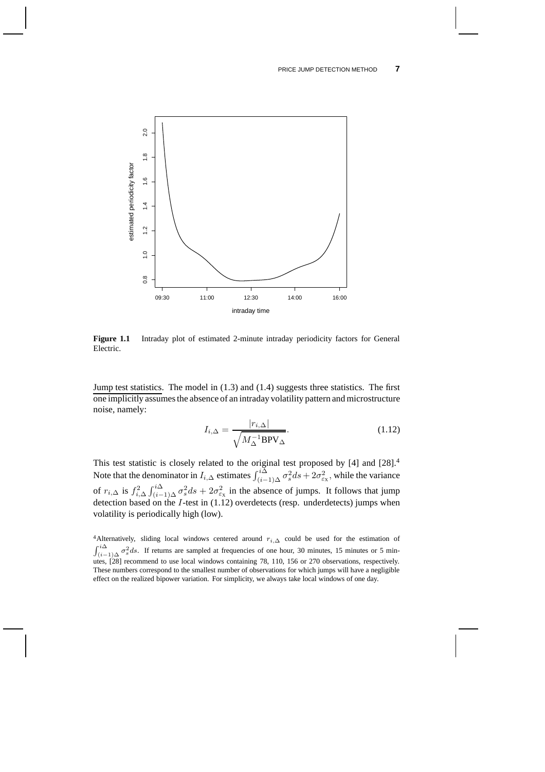#### PRICE JUMP DETECTION METHOD **7**



**Figure 1.1** Intraday plot of estimated 2-minute intraday periodicity factors for General Electric.

Jump test statistics. The model in (1.3) and (1.4) suggests three statistics. The first one implicitly assumes the absence of an intraday volatility pattern and microstructure noise, namely:

$$
I_{i,\Delta} = \frac{|r_{i,\Delta}|}{\sqrt{M_{\Delta}^{-1}BPV_{\Delta}}}.
$$
\n(1.12)

This test statistic is closely related to the original test proposed by [4] and [28].<sup>4</sup> Note that the denominator in  $I_{i,\Delta}$  estimates  $\int_{(i-1)\Delta}^{i\Delta} \sigma_s^2 ds + 2\sigma_{\varepsilon_X}^2$ , while the variance of  $r_{i,\Delta}$  is  $f_{i,\Delta}^2 \int_{(i-1)\Delta}^{i\Delta} \sigma_s^2 ds + 2\sigma_{\epsilon_x}^2$  in the absence of jumps. It follows that jump detection based on the I-test in (1.12) overdetects (resp. underdetects) jumps when volatility is periodically high (low).

<sup>4</sup>Alternatively, sliding local windows centered around  $r_{i,\Delta}$  could be used for the estimation of  $\int_{(i-1)\Delta}^{i\Delta} \sigma_s^2 ds$ . If returns are sampled at frequencies of one hour, 30 minutes, 15 minutes or 5 minutes, [28] recommend to use local windows containing 78, 110, 156 or 270 observations, respectively. These numbers correspond to the smallest number of observations for which jumps will have a negligible effect on the realized bipower variation. For simplicity, we always take local windows of one day.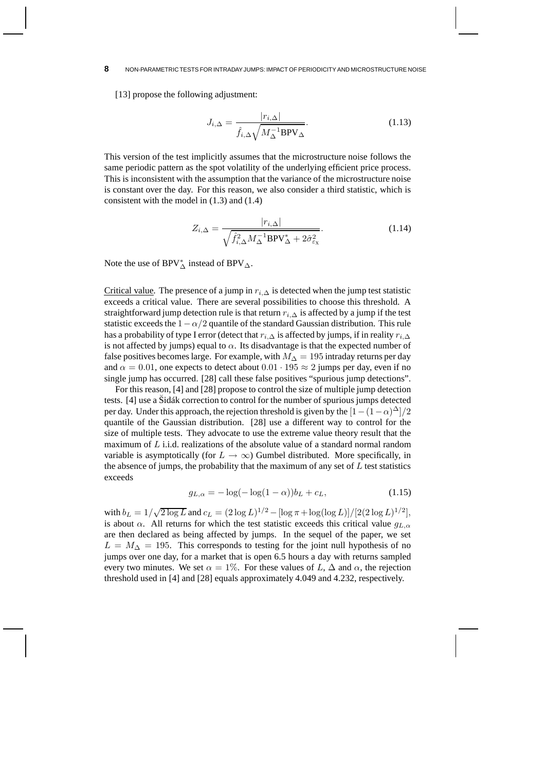[13] propose the following adjustment:

$$
J_{i,\Delta} = \frac{|r_{i,\Delta}|}{\hat{f}_{i,\Delta} \sqrt{M_{\Delta}^{-1} \text{BPV}_{\Delta}}}.
$$
\n(1.13)

This version of the test implicitly assumes that the microstructure noise follows the same periodic pattern as the spot volatility of the underlying efficient price process. This is inconsistent with the assumption that the variance of the microstructure noise is constant over the day. For this reason, we also consider a third statistic, which is consistent with the model in (1.3) and (1.4)

$$
Z_{i,\Delta} = \frac{|r_{i,\Delta}|}{\sqrt{\hat{f}_{i,\Delta}^2 M_{\Delta}^{-1} BPV_{\Delta}^* + 2\hat{\sigma}_{\varepsilon_{\mathrm{X}}}^2}}.
$$
 (1.14)

Note the use of BPV $^*_{\Delta}$  instead of BPV $_{\Delta}$ .

Critical value. The presence of a jump in  $r_{i,\Delta}$  is detected when the jump test statistic exceeds a critical value. There are several possibilities to choose this threshold. A straightforward jump detection rule is that return  $r_{i,\Delta}$  is affected by a jump if the test statistic exceeds the  $1-\alpha/2$  quantile of the standard Gaussian distribution. This rule has a probability of type I error (detect that  $r_{i,\Delta}$  is affected by jumps, if in reality  $r_{i,\Delta}$ is not affected by jumps) equal to  $\alpha$ . Its disadvantage is that the expected number of false positives becomes large. For example, with  $M_{\Delta} = 195$  intraday returns per day and  $\alpha = 0.01$ , one expects to detect about  $0.01 \cdot 195 \approx 2$  jumps per day, even if no single jump has occurred. [28] call these false positives "spurious jump detections".

For this reason, [4] and [28] propose to control the size of multiple jump detection tests. [4] use a Sidák correction to control for the number of spurious jumps detected per day. Under this approach, the rejection threshold is given by the  $[1-(1-\alpha)^{\Delta}]/2$ quantile of the Gaussian distribution. [28] use a different way to control for the size of multiple tests. They advocate to use the extreme value theory result that the maximum of L i.i.d. realizations of the absolute value of a standard normal random variable is asymptotically (for  $L \to \infty$ ) Gumbel distributed. More specifically, in the absence of jumps, the probability that the maximum of any set of  $L$  test statistics exceeds

$$
g_{L,\alpha} = -\log(-\log(1-\alpha))b_L + c_L,
$$
\n(1.15)

with  $b_L = 1/\sqrt{2 \log L}$  and  $c_L = (2 \log L)^{1/2} - {\log \pi + \log(\log L) })/[2(2 \log L)^{1/2}]$ , is about  $\alpha$ . All returns for which the test statistic exceeds this critical value  $g_{L,\alpha}$ are then declared as being affected by jumps. In the sequel of the paper, we set  $L = M_{\Delta} = 195$ . This corresponds to testing for the joint null hypothesis of no jumps over one day, for a market that is open 6.5 hours a day with returns sampled every two minutes. We set  $\alpha = 1\%$ . For these values of L,  $\Delta$  and  $\alpha$ , the rejection threshold used in [4] and [28] equals approximately 4.049 and 4.232, respectively.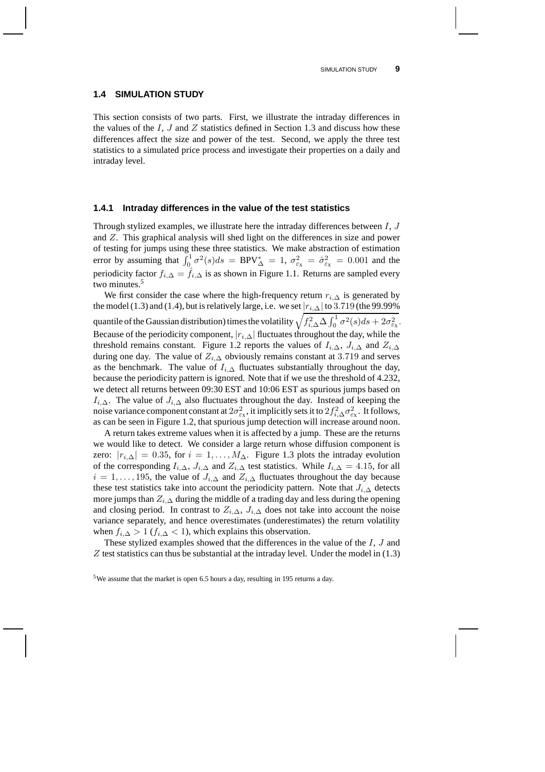#### **1.4 SIMULATION STUDY**

This section consists of two parts. First, we illustrate the intraday differences in the values of the I, J and Z statistics defined in Section 1.3 and discuss how these differences affect the size and power of the test. Second, we apply the three test statistics to a simulated price process and investigate their properties on a daily and intraday level.

#### **1.4.1 Intraday differences in the value of the test statistics**

Through stylized examples, we illustrate here the intraday differences between  $I, J$ and Z. This graphical analysis will shed light on the differences in size and power of testing for jumps using these three statistics. We make abstraction of estimation error by assuming that  $\int_0^1 \sigma^2(s)ds = BPV^*_{\Delta} = 1$ ,  $\sigma_{\epsilon_X}^2 = \hat{\sigma}_{\epsilon_X}^2 = 0.001$  and the periodicity factor  $f_{i,\Delta} = \hat{f}_{i,\Delta}$  is as shown in Figure 1.1. Returns are sampled every two minutes.<sup>5</sup>

We first consider the case where the high-frequency return  $r_{i,\Delta}$  is generated by the model (1.3) and (1.4), but is relatively large, i.e. we set  $|r_{i,\Delta}|$  to 3.719 (the 99.99% quantile of the Gaussian distribution) times the volatility  $\sqrt{f_{i,\Delta}^2 \Delta \int_0^1 \sigma^2(s) ds + 2\sigma_{\varepsilon_X}^2}$ . Because of the periodicity component,  $|r_{i,\Delta}|$  fluctuates throughout the day, while the threshold remains constant. Figure 1.2 reports the values of  $I_{i,\Delta}$ ,  $J_{i,\Delta}$  and  $Z_{i,\Delta}$ during one day. The value of  $Z_{i,\Delta}$  obviously remains constant at 3.719 and serves as the benchmark. The value of  $I_{i,\Delta}$  fluctuates substantially throughout the day, because the periodicity pattern is ignored. Note that if we use the threshold of 4.232, we detect all returns between 09:30 EST and 10:06 EST as spurious jumps based on  $I_{i,\Delta}$ . The value of  $J_{i,\Delta}$  also fluctuates throughout the day. Instead of keeping the noise variance component constant at  $2\sigma_{\varepsilon_X}^2$ , it implicitly sets it to  $2f_{i,\Delta}^2\sigma_{\varepsilon_X}^2$ . It follows, as can be seen in Figure 1.2, that spurious jump detection will increase around noon.

A return takes extreme values when it is affected by a jump. These are the returns we would like to detect. We consider a large return whose diffusion component is zero:  $|r_{i,\Delta}| = 0.35$ , for  $i = 1, ..., M_{\Delta}$ . Figure 1.3 plots the intraday evolution of the corresponding  $I_{i,\Delta}$ ,  $J_{i,\Delta}$  and  $Z_{i,\Delta}$  test statistics. While  $I_{i,\Delta} = 4.15$ , for all  $i = 1, \ldots, 195$ , the value of  $J_{i,\Delta}$  and  $Z_{i,\Delta}$  fluctuates throughout the day because these test statistics take into account the periodicity pattern. Note that  $J_{i,\Delta}$  detects more jumps than  $Z_{i,\Delta}$  during the middle of a trading day and less during the opening and closing period. In contrast to  $Z_{i,\Delta}$ ,  $J_{i,\Delta}$  does not take into account the noise variance separately, and hence overestimates (underestimates) the return volatility when  $f_{i,\Delta} > 1$  ( $f_{i,\Delta} < 1$ ), which explains this observation.

These stylized examples showed that the differences in the value of the I, J and  $Z$  test statistics can thus be substantial at the intraday level. Under the model in  $(1.3)$ 

<sup>5</sup>We assume that the market is open 6.5 hours a day, resulting in 195 returns a day.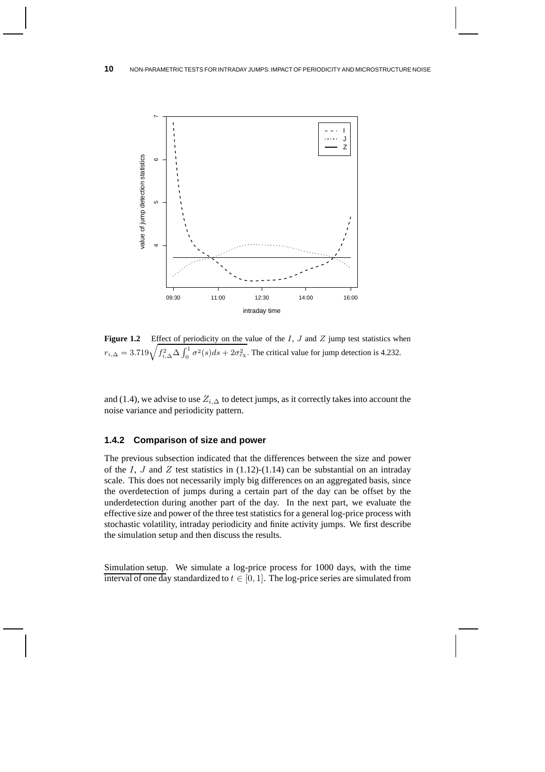

Figure 1.2 Effect of periodicity on the value of the I, J and Z jump test statistics when  $r_{i,\Delta} = 3.719 \sqrt{f_{i,\Delta}^2 \Delta \int_0^1 \sigma^2(s)ds + 2\sigma_{\epsilon_x}^2}$ . The critical value for jump detection is 4.232.

and (1.4), we advise to use  $Z_{i,\Delta}$  to detect jumps, as it correctly takes into account the noise variance and periodicity pattern.

### **1.4.2 Comparison of size and power**

The previous subsection indicated that the differences between the size and power of the I, J and Z test statistics in  $(1.12)-(1.14)$  can be substantial on an intraday scale. This does not necessarily imply big differences on an aggregated basis, since the overdetection of jumps during a certain part of the day can be offset by the underdetection during another part of the day. In the next part, we evaluate the effective size and power of the three test statistics for a general log-price process with stochastic volatility, intraday periodicity and finite activity jumps. We first describe the simulation setup and then discuss the results.

Simulation setup. We simulate a log-price process for 1000 days, with the time interval of one day standardized to  $t \in [0, 1]$ . The log-price series are simulated from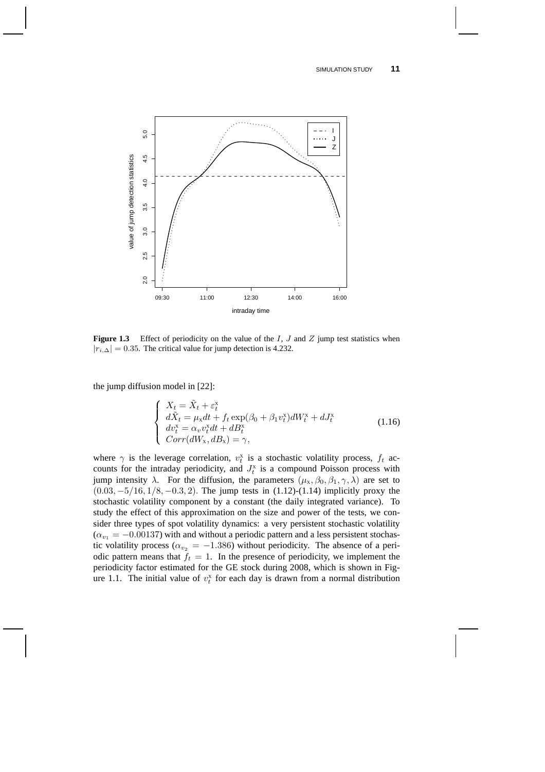#### SIMULATION STUDY **11**



**Figure 1.3** Effect of periodicity on the value of the I, J and Z jump test statistics when  $|r_{i,\Delta}| = 0.35$ . The critical value for jump detection is 4.232.

the jump diffusion model in [22]:

$$
\begin{cases}\nX_t = \tilde{X}_t + \varepsilon_t^x \\
d\tilde{X}_t = \mu_x dt + f_t \exp(\beta_0 + \beta_1 v_t^x) dW_t^x + dJ_t^x \\
dv_t^x = \alpha_v v_t^x dt + dB_t^x \\
Corr(dW_x, dB_x) = \gamma,\n\end{cases} \tag{1.16}
$$

where  $\gamma$  is the leverage correlation,  $v_t^x$  is a stochastic volatility process,  $f_t$  accounts for the intraday periodicity, and  $J_t^x$  is a compound Poisson process with jump intensity  $\lambda$ . For the diffusion, the parameters  $(\mu_X, \beta_0, \beta_1, \gamma, \lambda)$  are set to  $(0.03, -5/16, 1/8, -0.3, 2)$ . The jump tests in  $(1.12)$ - $(1.14)$  implicitly proxy the stochastic volatility component by a constant (the daily integrated variance). To study the effect of this approximation on the size and power of the tests, we consider three types of spot volatility dynamics: a very persistent stochastic volatility  $(\alpha_{v_1} = -0.00137)$  with and without a periodic pattern and a less persistent stochastic volatility process ( $\alpha_{v_2} = -1.386$ ) without periodicity. The absence of a periodic pattern means that  $f_t = 1$ . In the presence of periodicity, we implement the periodicity factor estimated for the GE stock during 2008, which is shown in Figure 1.1. The initial value of  $v_t^x$  for each day is drawn from a normal distribution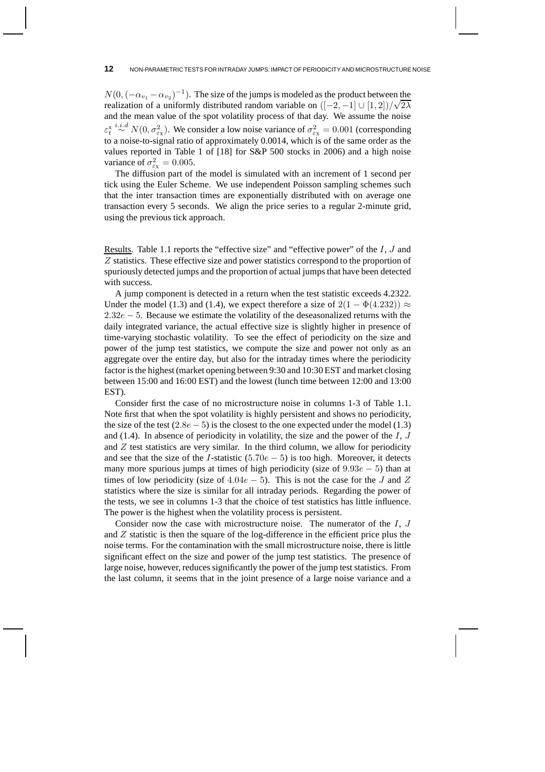$N(0, (-\alpha_{v_1} - \alpha_{v_2})^{-1})$ . The size of the jumps is modeled as the product between the realization of a uniformly distributed random variable on  $([-2, -1] \cup [1, 2])/\sqrt{2\lambda}$ and the mean value of the spot volatility process of that day. We assume the noise  $\varepsilon_t^{x} \stackrel{i.i.d}{\sim} N(0, \sigma_{\varepsilon_x}^2)$ . We consider a low noise variance of  $\sigma_{\varepsilon_x}^2 = 0.001$  (corresponding to a noise-to-signal ratio of approximately 0.0014, which is of the same order as the values reported in Table 1 of [18] for S&P 500 stocks in 2006) and a high noise variance of  $\sigma_{\varepsilon_{\rm X}}^2 = 0.005$ .

The diffusion part of the model is simulated with an increment of 1 second per tick using the Euler Scheme. We use independent Poisson sampling schemes such that the inter transaction times are exponentially distributed with on average one transaction every 5 seconds. We align the price series to a regular 2-minute grid, using the previous tick approach.

Results. Table 1.1 reports the "effective size" and "effective power" of the  $I, J$  and Z statistics. These effective size and power statistics correspond to the proportion of spuriously detected jumps and the proportion of actual jumps that have been detected with success.

A jump component is detected in a return when the test statistic exceeds 4.2322. Under the model (1.3) and (1.4), we expect therefore a size of  $2(1 - \Phi(4.232))$  ≈  $2.32e - 5$ . Because we estimate the volatility of the deseasonalized returns with the daily integrated variance, the actual effective size is slightly higher in presence of time-varying stochastic volatility. To see the effect of periodicity on the size and power of the jump test statistics, we compute the size and power not only as an aggregate over the entire day, but also for the intraday times where the periodicity factor is the highest (market opening between 9:30 and 10:30 EST and market closing between 15:00 and 16:00 EST) and the lowest (lunch time between 12:00 and 13:00 EST).

Consider first the case of no microstructure noise in columns 1-3 of Table 1.1. Note first that when the spot volatility is highly persistent and shows no periodicity, the size of the test  $(2.8e - 5)$  is the closest to the one expected under the model (1.3) and  $(1.4)$ . In absence of periodicity in volatility, the size and the power of the  $I, J$ and  $Z$  test statistics are very similar. In the third column, we allow for periodicity and see that the size of the I-statistic  $(5.70e - 5)$  is too high. Moreover, it detects many more spurious jumps at times of high periodicity (size of 9.93e − 5) than at times of low periodicity (size of  $4.04e-5$ ). This is not the case for the J and Z statistics where the size is similar for all intraday periods. Regarding the power of the tests, we see in columns 1-3 that the choice of test statistics has little influence. The power is the highest when the volatility process is persistent.

Consider now the case with microstructure noise. The numerator of the I, J and  $Z$  statistic is then the square of the log-difference in the efficient price plus the noise terms. For the contamination with the small microstructure noise, there is little significant effect on the size and power of the jump test statistics. The presence of large noise, however, reduces significantly the power of the jump test statistics. From the last column, it seems that in the joint presence of a large noise variance and a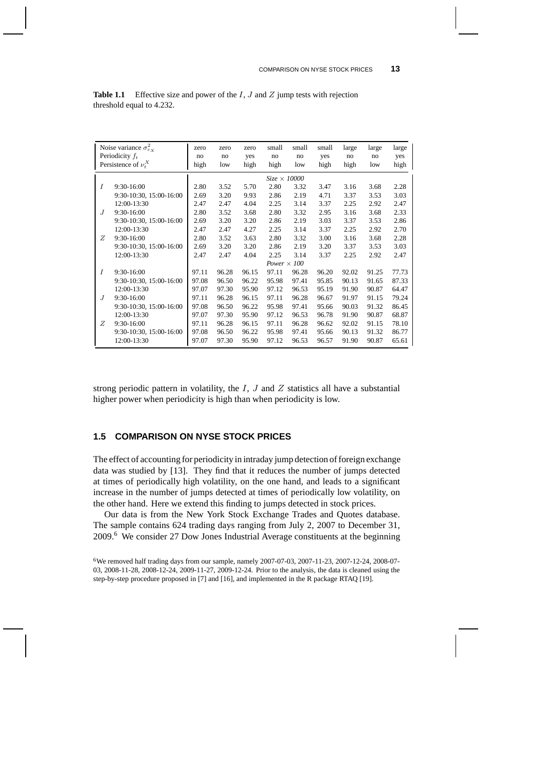| Noise variance $\sigma_{\varepsilon_X}^2$<br>Periodicity $f_t$ |                         | zero<br>no          | zero<br>no | zero<br>yes | small<br>no | small<br>no | small<br>yes | large<br>no | large<br>no | large<br>yes |
|----------------------------------------------------------------|-------------------------|---------------------|------------|-------------|-------------|-------------|--------------|-------------|-------------|--------------|
| Persistence of $\nu^{X}_{t}$                                   |                         | high                | low        | high        | high        | low         | high         | high        | low         | high         |
|                                                                |                         | $Size \times 10000$ |            |             |             |             |              |             |             |              |
| I                                                              | 9:30-16:00              | 2.80                | 3.52       | 5.70        | 2.80        | 3.32        | 3.47         | 3.16        | 3.68        | 2.28         |
|                                                                | 9:30-10:30, 15:00-16:00 | 2.69                | 3.20       | 9.93        | 2.86        | 2.19        | 4.71         | 3.37        | 3.53        | 3.03         |
|                                                                | 12:00-13:30             | 2.47                | 2.47       | 4.04        | 2.25        | 3.14        | 3.37         | 2.25        | 2.92        | 2.47         |
| J                                                              | $9:30-16:00$            | 2.80                | 3.52       | 3.68        | 2.80        | 3.32        | 2.95         | 3.16        | 3.68        | 2.33         |
|                                                                | 9:30-10:30, 15:00-16:00 | 2.69                | 3.20       | 3.20        | 2.86        | 2.19        | 3.03         | 3.37        | 3.53        | 2.86         |
|                                                                | 12:00-13:30             | 2.47                | 2.47       | 4.27        | 2.25        | 3.14        | 3.37         | 2.25        | 2.92        | 2.70         |
| Z                                                              | 9:30-16:00              | 2.80                | 3.52       | 3.63        | 2.80        | 3.32        | 3.00         | 3.16        | 3.68        | 2.28         |
|                                                                | 9:30-10:30, 15:00-16:00 | 2.69                | 3.20       | 3.20        | 2.86        | 2.19        | 3.20         | 3.37        | 3.53        | 3.03         |
|                                                                | 12:00-13:30             | 2.47                | 2.47       | 4.04        | 2.25        | 3.14        | 3.37         | 2.25        | 2.92        | 2.47         |
|                                                                |                         | Power $\times 100$  |            |             |             |             |              |             |             |              |
| $\overline{I}$                                                 | 9:30-16:00              | 97.11               | 96.28      | 96.15       | 97.11       | 96.28       | 96.20        | 92.02       | 91.25       | 77.73        |
|                                                                | 9:30-10:30, 15:00-16:00 | 97.08               | 96.50      | 96.22       | 95.98       | 97.41       | 95.85        | 90.13       | 91.65       | 87.33        |
|                                                                | 12:00-13:30             | 97.07               | 97.30      | 95.90       | 97.12       | 96.53       | 95.19        | 91.90       | 90.87       | 64.47        |
| $\cdot$ T                                                      | 9:30-16:00              | 97.11               | 96.28      | 96.15       | 97.11       | 96.28       | 96.67        | 91.97       | 91.15       | 79.24        |
|                                                                | 9:30-10:30, 15:00-16:00 | 97.08               | 96.50      | 96.22       | 95.98       | 97.41       | 95.66        | 90.03       | 91.32       | 86.45        |
|                                                                | 12:00-13:30             | 97.07               | 97.30      | 95.90       | 97.12       | 96.53       | 96.78        | 91.90       | 90.87       | 68.87        |
| Z                                                              | 9:30-16:00              | 97.11               | 96.28      | 96.15       | 97.11       | 96.28       | 96.62        | 92.02       | 91.15       | 78.10        |
|                                                                | 9:30-10:30, 15:00-16:00 | 97.08               | 96.50      | 96.22       | 95.98       | 97.41       | 95.66        | 90.13       | 91.32       | 86.77        |
|                                                                | 12:00-13:30             | 97.07               | 97.30      | 95.90       | 97.12       | 96.53       | 96.57        | 91.90       | 90.87       | 65.61        |

| <b>Table 1.1</b> Effective size and power of the $I$ , $J$ and $Z$ jump tests with rejection |  |
|----------------------------------------------------------------------------------------------|--|
| threshold equal to 4.232.                                                                    |  |

strong periodic pattern in volatility, the I, J and Z statistics all have a substantial higher power when periodicity is high than when periodicity is low.

# **1.5 COMPARISON ON NYSE STOCK PRICES**

The effect of accounting for periodicity in intraday jump detection of foreign exchange data was studied by [13]. They find that it reduces the number of jumps detected at times of periodically high volatility, on the one hand, and leads to a significant increase in the number of jumps detected at times of periodically low volatility, on the other hand. Here we extend this finding to jumps detected in stock prices.

Our data is from the New York Stock Exchange Trades and Quotes database. The sample contains 624 trading days ranging from July 2, 2007 to December 31, 2009.<sup>6</sup> We consider 27 Dow Jones Industrial Average constituents at the beginning

<sup>6</sup>We removed half trading days from our sample, namely 2007-07-03, 2007-11-23, 2007-12-24, 2008-07- 03, 2008-11-28, 2008-12-24, 2009-11-27, 2009-12-24. Prior to the analysis, the data is cleaned using the step-by-step procedure proposed in [7] and [16], and implemented in the R package RTAQ [19].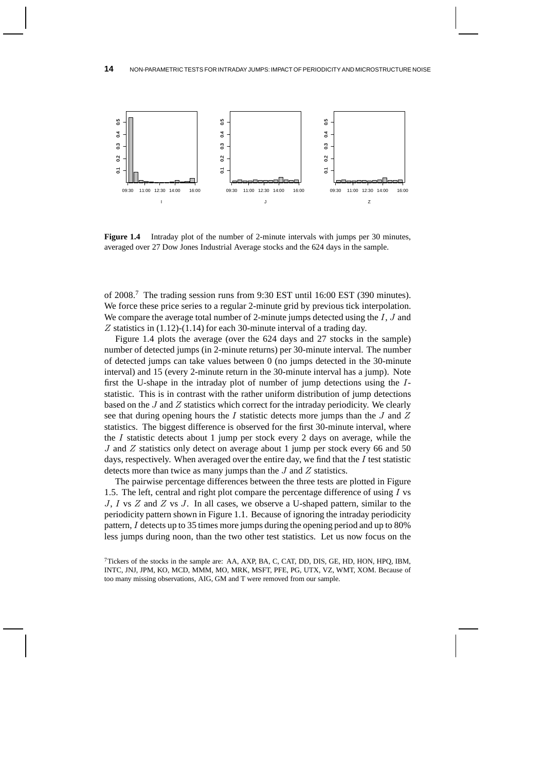

**Figure 1.4** Intraday plot of the number of 2-minute intervals with jumps per 30 minutes, averaged over 27 Dow Jones Industrial Average stocks and the 624 days in the sample.

of 2008.<sup>7</sup> The trading session runs from 9:30 EST until 16:00 EST (390 minutes). We force these price series to a regular 2-minute grid by previous tick interpolation. We compare the average total number of 2-minute jumps detected using the I, J and Z statistics in (1.12)-(1.14) for each 30-minute interval of a trading day.

Figure 1.4 plots the average (over the 624 days and 27 stocks in the sample) number of detected jumps (in 2-minute returns) per 30-minute interval. The number of detected jumps can take values between 0 (no jumps detected in the 30-minute interval) and 15 (every 2-minute return in the 30-minute interval has a jump). Note first the U-shape in the intraday plot of number of jump detections using the Istatistic. This is in contrast with the rather uniform distribution of jump detections based on the  $J$  and  $Z$  statistics which correct for the intraday periodicity. We clearly see that during opening hours the  $I$  statistic detects more jumps than the  $J$  and  $Z$ statistics. The biggest difference is observed for the first 30-minute interval, where the  $I$  statistic detects about 1 jump per stock every 2 days on average, while the  $J$  and  $Z$  statistics only detect on average about 1 jump per stock every 66 and 50 days, respectively. When averaged over the entire day, we find that the  $I$  test statistic detects more than twice as many jumps than the J and Z statistics.

The pairwise percentage differences between the three tests are plotted in Figure 1.5. The left, central and right plot compare the percentage difference of using  $I$  vs J, I vs  $Z$  and  $Z$  vs J. In all cases, we observe a U-shaped pattern, similar to the periodicity pattern shown in Figure 1.1. Because of ignoring the intraday periodicity pattern, I detects up to 35 times more jumps during the opening period and up to 80% less jumps during noon, than the two other test statistics. Let us now focus on the

<sup>7</sup>Tickers of the stocks in the sample are: AA, AXP, BA, C, CAT, DD, DIS, GE, HD, HON, HPQ, IBM, INTC, JNJ, JPM, KO, MCD, MMM, MO, MRK, MSFT, PFE, PG, UTX, VZ, WMT, XOM. Because of too many missing observations, AIG, GM and T were removed from our sample.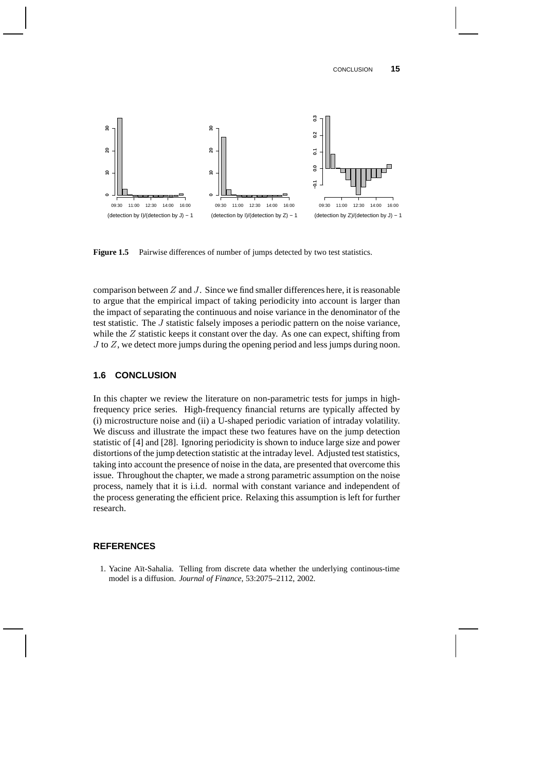

**Figure 1.5** Pairwise differences of number of jumps detected by two test statistics.

comparison between  $Z$  and  $J$ . Since we find smaller differences here, it is reasonable to argue that the empirical impact of taking periodicity into account is larger than the impact of separating the continuous and noise variance in the denominator of the test statistic. The J statistic falsely imposes a periodic pattern on the noise variance, while the Z statistic keeps it constant over the day. As one can expect, shifting from  $J$  to  $Z$ , we detect more jumps during the opening period and less jumps during noon.

# **1.6 CONCLUSION**

In this chapter we review the literature on non-parametric tests for jumps in highfrequency price series. High-frequency financial returns are typically affected by (i) microstructure noise and (ii) a U-shaped periodic variation of intraday volatility. We discuss and illustrate the impact these two features have on the jump detection statistic of [4] and [28]. Ignoring periodicity is shown to induce large size and power distortions of the jump detection statistic at the intraday level. Adjusted test statistics, taking into account the presence of noise in the data, are presented that overcome this issue. Throughout the chapter, we made a strong parametric assumption on the noise process, namely that it is i.i.d. normal with constant variance and independent of the process generating the efficient price. Relaxing this assumption is left for further research.

# **REFERENCES**

1. Yacine Aït-Sahalia. Telling from discrete data whether the underlying continous-time model is a diffusion. *Journal of Finance*, 53:2075–2112, 2002.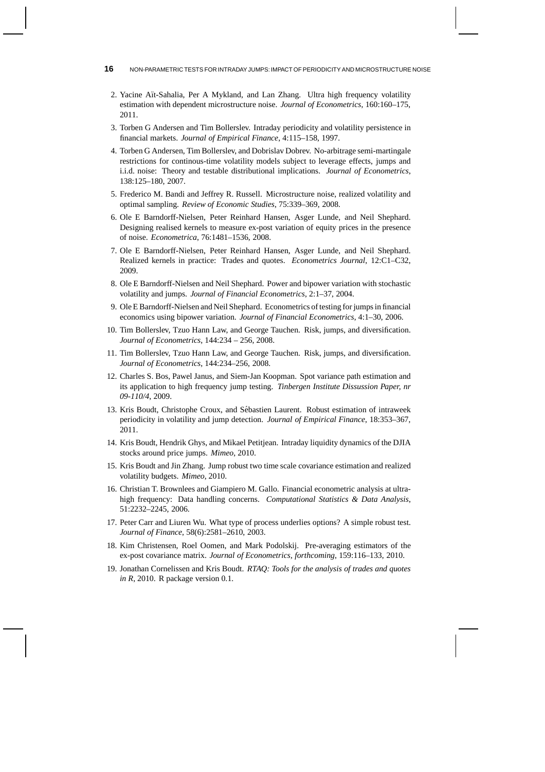- **16** NON-PARAMETRIC TESTS FOR INTRADAY JUMPS: IMPACT OF PERIODICITY AND MICROSTRUCTURE NOISE
	- 2. Yacine Aït-Sahalia, Per A Mykland, and Lan Zhang. Ultra high frequency volatility estimation with dependent microstructure noise. *Journal of Econometrics*, 160:160–175, 2011.
	- 3. Torben G Andersen and Tim Bollerslev. Intraday periodicity and volatility persistence in financial markets. *Journal of Empirical Finance*, 4:115–158, 1997.
	- 4. Torben G Andersen, Tim Bollerslev, and Dobrislav Dobrev. No-arbitrage semi-martingale restrictions for continous-time volatility models subject to leverage effects, jumps and i.i.d. noise: Theory and testable distributional implications. *Journal of Econometrics*, 138:125–180, 2007.
	- 5. Frederico M. Bandi and Jeffrey R. Russell. Microstructure noise, realized volatility and optimal sampling. *Review of Economic Studies*, 75:339–369, 2008.
	- 6. Ole E Barndorff-Nielsen, Peter Reinhard Hansen, Asger Lunde, and Neil Shephard. Designing realised kernels to measure ex-post variation of equity prices in the presence of noise. *Econometrica*, 76:1481–1536, 2008.
	- 7. Ole E Barndorff-Nielsen, Peter Reinhard Hansen, Asger Lunde, and Neil Shephard. Realized kernels in practice: Trades and quotes. *Econometrics Journal*, 12:C1–C32, 2009.
	- 8. Ole E Barndorff-Nielsen and Neil Shephard. Power and bipower variation with stochastic volatility and jumps. *Journal of Financial Econometrics*, 2:1–37, 2004.
- 9. Ole E Barndorff-Nielsen and Neil Shephard. Econometrics of testing for jumps in financial economics using bipower variation. *Journal of Financial Econometrics*, 4:1–30, 2006.
- 10. Tim Bollerslev, Tzuo Hann Law, and George Tauchen. Risk, jumps, and diversification. *Journal of Econometrics*, 144:234 – 256, 2008.
- 11. Tim Bollerslev, Tzuo Hann Law, and George Tauchen. Risk, jumps, and diversification. *Journal of Econometrics*, 144:234–256, 2008.
- 12. Charles S. Bos, Pawel Janus, and Siem-Jan Koopman. Spot variance path estimation and its application to high frequency jump testing. *Tinbergen Institute Dissussion Paper, nr 09-110/4*, 2009.
- 13. Kris Boudt, Christophe Croux, and Sebastien Laurent. Robust estimation of intraweek ´ periodicity in volatility and jump detection. *Journal of Empirical Finance*, 18:353–367, 2011.
- 14. Kris Boudt, Hendrik Ghys, and Mikael Petitjean. Intraday liquidity dynamics of the DJIA stocks around price jumps. *Mimeo*, 2010.
- 15. Kris Boudt and Jin Zhang. Jump robust two time scale covariance estimation and realized volatility budgets. *Mimeo*, 2010.
- 16. Christian T. Brownlees and Giampiero M. Gallo. Financial econometric analysis at ultrahigh frequency: Data handling concerns. *Computational Statistics & Data Analysis*, 51:2232–2245, 2006.
- 17. Peter Carr and Liuren Wu. What type of process underlies options? A simple robust test. *Journal of Finance*, 58(6):2581–2610, 2003.
- 18. Kim Christensen, Roel Oomen, and Mark Podolskij. Pre-averaging estimators of the ex-post covariance matrix. *Journal of Econometrics, forthcoming*, 159:116–133, 2010.
- 19. Jonathan Cornelissen and Kris Boudt. *RTAQ: Tools for the analysis of trades and quotes in R*, 2010. R package version 0.1.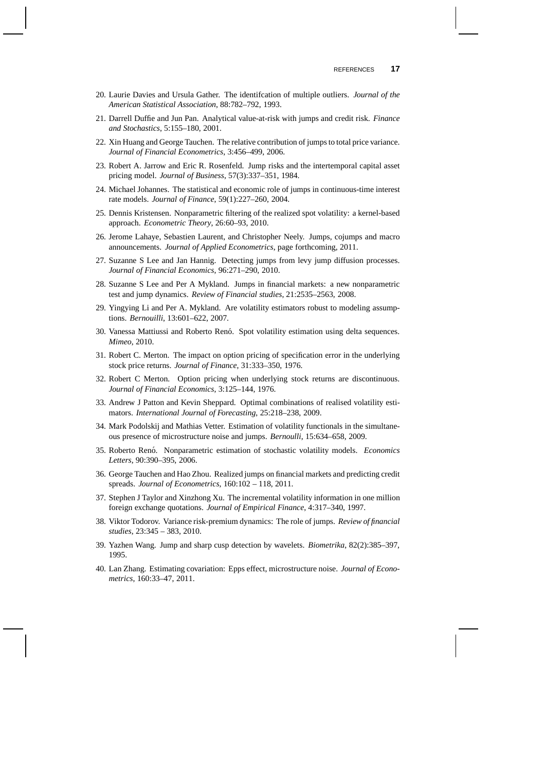- 20. Laurie Davies and Ursula Gather. The identifcation of multiple outliers. *Journal of the American Statistical Association*, 88:782–792, 1993.
- 21. Darrell Duffie and Jun Pan. Analytical value-at-risk with jumps and credit risk. *Finance and Stochastics*, 5:155–180, 2001.
- 22. Xin Huang and George Tauchen. The relative contribution of jumps to total price variance. *Journal of Financial Econometrics*, 3:456–499, 2006.
- 23. Robert A. Jarrow and Eric R. Rosenfeld. Jump risks and the intertemporal capital asset pricing model. *Journal of Business*, 57(3):337–351, 1984.
- 24. Michael Johannes. The statistical and economic role of jumps in continuous-time interest rate models. *Journal of Finance*, 59(1):227–260, 2004.
- 25. Dennis Kristensen. Nonparametric filtering of the realized spot volatility: a kernel-based approach. *Econometric Theory*, 26:60–93, 2010.
- 26. Jerome Lahaye, Sebastien Laurent, and Christopher Neely. Jumps, cojumps and macro announcements. *Journal of Applied Econometrics*, page forthcoming, 2011.
- 27. Suzanne S Lee and Jan Hannig. Detecting jumps from levy jump diffusion processes. *Journal of Financial Economics*, 96:271–290, 2010.
- 28. Suzanne S Lee and Per A Mykland. Jumps in financial markets: a new nonparametric test and jump dynamics. *Review of Financial studies*, 21:2535–2563, 2008.
- 29. Yingying Li and Per A. Mykland. Are volatility estimators robust to modeling assumptions. *Bernouilli*, 13:601–622, 2007.
- 30. Vanessa Mattiussi and Roberto Renó. Spot volatility estimation using delta sequences. *Mimeo*, 2010.
- 31. Robert C. Merton. The impact on option pricing of specification error in the underlying stock price returns. *Journal of Finance*, 31:333–350, 1976.
- 32. Robert C Merton. Option pricing when underlying stock returns are discontinuous. *Journal of Financial Economics*, 3:125–144, 1976.
- 33. Andrew J Patton and Kevin Sheppard. Optimal combinations of realised volatility estimators. *International Journal of Forecasting*, 25:218–238, 2009.
- 34. Mark Podolskij and Mathias Vetter. Estimation of volatility functionals in the simultaneous presence of microstructure noise and jumps. *Bernoulli*, 15:634–658, 2009.
- 35. Roberto Renó. Nonparametric estimation of stochastic volatility models. *Economics Letters*, 90:390–395, 2006.
- 36. George Tauchen and Hao Zhou. Realized jumps on financial markets and predicting credit spreads. *Journal of Econometrics*, 160:102 – 118, 2011.
- 37. Stephen J Taylor and Xinzhong Xu. The incremental volatility information in one million foreign exchange quotations. *Journal of Empirical Finance*, 4:317–340, 1997.
- 38. Viktor Todorov. Variance risk-premium dynamics: The role of jumps. *Review of financial studies*, 23:345 – 383, 2010.
- 39. Yazhen Wang. Jump and sharp cusp detection by wavelets. *Biometrika*, 82(2):385–397, 1995.
- 40. Lan Zhang. Estimating covariation: Epps effect, microstructure noise. *Journal of Econometrics*, 160:33–47, 2011.